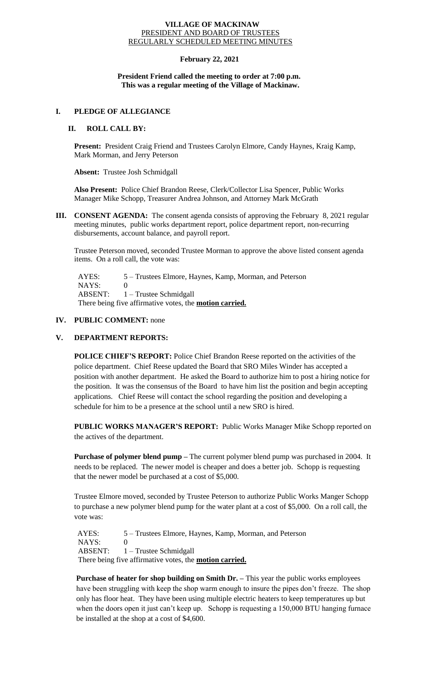#### **VILLAGE OF MACKINAW** PRESIDENT AND BOARD OF TRUSTEES REGULARLY SCHEDULED MEETING MINUTES

# **February 22, 2021**

### **President Friend called the meeting to order at 7:00 p.m. This was a regular meeting of the Village of Mackinaw.**

### **I. PLEDGE OF ALLEGIANCE**

# **II. ROLL CALL BY:**

**Present:** President Craig Friend and Trustees Carolyn Elmore, Candy Haynes, Kraig Kamp, Mark Morman, and Jerry Peterson

**Absent:** Trustee Josh Schmidgall

**Also Present:** Police Chief Brandon Reese, Clerk/Collector Lisa Spencer, Public Works Manager Mike Schopp, Treasurer Andrea Johnson, and Attorney Mark McGrath

**III. CONSENT AGENDA:** The consent agenda consists of approving the February 8, 2021 regular meeting minutes, public works department report, police department report, non-recurring disbursements, account balance, and payroll report.

Trustee Peterson moved, seconded Trustee Morman to approve the above listed consent agenda items. On a roll call, the vote was:

 AYES: 5 – Trustees Elmore, Haynes, Kamp, Morman, and Peterson NAYS: 0 ABSENT: 1 – Trustee Schmidgall There being five affirmative votes, the **motion carried.**

### **IV. PUBLIC COMMENT:** none

# **V. DEPARTMENT REPORTS:**

**POLICE CHIEF'S REPORT:** Police Chief Brandon Reese reported on the activities of the police department. Chief Reese updated the Board that SRO Miles Winder has accepted a position with another department. He asked the Board to authorize him to post a hiring notice for the position. It was the consensus of the Board to have him list the position and begin accepting applications. Chief Reese will contact the school regarding the position and developing a schedule for him to be a presence at the school until a new SRO is hired.

**PUBLIC WORKS MANAGER'S REPORT:** Public Works Manager Mike Schopp reported on the actives of the department.

**Purchase of polymer blend pump –** The current polymer blend pump was purchased in 2004. It needs to be replaced. The newer model is cheaper and does a better job. Schopp is requesting that the newer model be purchased at a cost of \$5,000.

Trustee Elmore moved, seconded by Trustee Peterson to authorize Public Works Manger Schopp to purchase a new polymer blend pump for the water plant at a cost of \$5,000. On a roll call, the vote was:

AYES: 5 – Trustees Elmore, Haynes, Kamp, Morman, and Peterson  $NAYS: 0$  ABSENT: 1 – Trustee Schmidgall There being five affirmative votes, the **motion carried.**

**Purchase of heater for shop building on Smith Dr. –** This year the public works employees have been struggling with keep the shop warm enough to insure the pipes don't freeze. The shop only has floor heat. They have been using multiple electric heaters to keep temperatures up but when the doors open it just can't keep up. Schopp is requesting a 150,000 BTU hanging furnace be installed at the shop at a cost of \$4,600.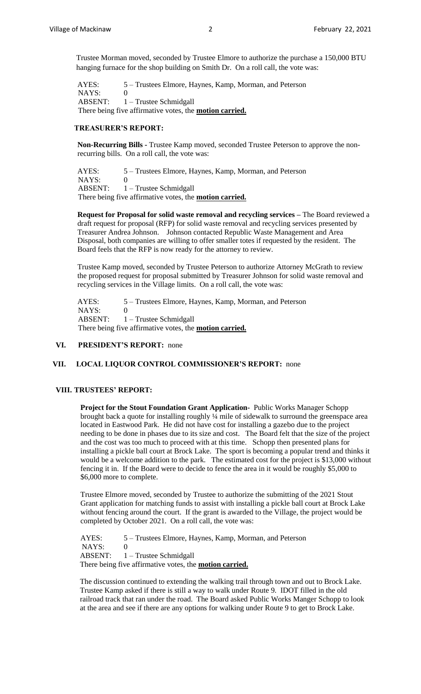Trustee Morman moved, seconded by Trustee Elmore to authorize the purchase a 150,000 BTU hanging furnace for the shop building on Smith Dr. On a roll call, the vote was:

AYES: 5 – Trustees Elmore, Haynes, Kamp, Morman, and Peterson NAYS: 0 ABSENT: 1 – Trustee Schmidgall There being five affirmative votes, the **motion carried.**

### **TREASURER'S REPORT:**

**Non-Recurring Bills -** Trustee Kamp moved, seconded Trustee Peterson to approve the nonrecurring bills. On a roll call, the vote was:

AYES: 5 – Trustees Elmore, Haynes, Kamp, Morman, and Peterson NAYS: 0 ABSENT: 1 – Trustee Schmidgall There being five affirmative votes, the **motion carried.**

**Request for Proposal for solid waste removal and recycling services –** The Board reviewed a draft request for proposal (RFP) for solid waste removal and recycling services presented by Treasurer Andrea Johnson. Johnson contacted Republic Waste Management and Area Disposal, both companies are willing to offer smaller totes if requested by the resident. The Board feels that the RFP is now ready for the attorney to review.

Trustee Kamp moved, seconded by Trustee Peterson to authorize Attorney McGrath to review the proposed request for proposal submitted by Treasurer Johnson for solid waste removal and recycling services in the Village limits. On a roll call, the vote was:

AYES: 5 – Trustees Elmore, Haynes, Kamp, Morman, and Peterson NAYS: 0 ABSENT: 1 – Trustee Schmidgall There being five affirmative votes, the **motion carried.**

# **VI. PRESIDENT'S REPORT:** none

# **VII. LOCAL LIQUOR CONTROL COMMISSIONER'S REPORT:** none

#### **VIII. TRUSTEES' REPORT:**

**Project for the Stout Foundation Grant Application-** Public Works Manager Schopp brought back a quote for installing roughly ¼ mile of sidewalk to surround the greenspace area located in Eastwood Park. He did not have cost for installing a gazebo due to the project needing to be done in phases due to its size and cost. The Board felt that the size of the project and the cost was too much to proceed with at this time. Schopp then presented plans for installing a pickle ball court at Brock Lake. The sport is becoming a popular trend and thinks it would be a welcome addition to the park. The estimated cost for the project is \$13,000 without fencing it in. If the Board were to decide to fence the area in it would be roughly \$5,000 to \$6,000 more to complete.

Trustee Elmore moved, seconded by Trustee to authorize the submitting of the 2021 Stout Grant application for matching funds to assist with installing a pickle ball court at Brock Lake without fencing around the court. If the grant is awarded to the Village, the project would be completed by October 2021. On a roll call, the vote was:

AYES: 5 – Trustees Elmore, Haynes, Kamp, Morman, and Peterson  $NAYS: 0$  ABSENT: 1 – Trustee Schmidgall There being five affirmative votes, the **motion carried.**

The discussion continued to extending the walking trail through town and out to Brock Lake. Trustee Kamp asked if there is still a way to walk under Route 9. IDOT filled in the old railroad track that ran under the road. The Board asked Public Works Manger Schopp to look at the area and see if there are any options for walking under Route 9 to get to Brock Lake.